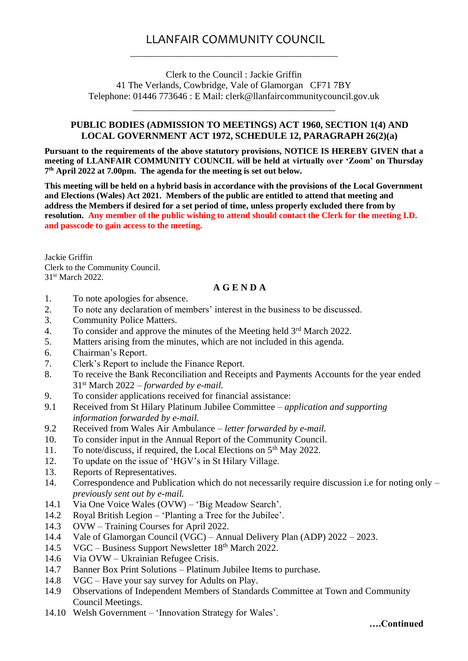## LLANFAIR COMMUNITY COUNCIL \_\_\_\_\_\_\_\_\_\_\_\_\_\_\_\_\_\_\_\_\_\_\_\_\_\_\_\_\_\_\_\_\_\_\_\_\_\_\_\_\_\_\_\_

Clerk to the Council : Jackie Griffin 41 The Verlands, Cowbridge, Vale of Glamorgan CF71 7BY Telephone: 01446 773646 : E Mail: clerk@llanfaircommunitycouncil.gov.uk

\_\_\_\_\_\_\_\_\_\_\_\_\_\_\_\_\_\_\_\_\_\_\_\_\_\_\_\_\_\_\_\_\_\_\_\_\_\_\_\_\_\_\_

## **PUBLIC BODIES (ADMISSION TO MEETINGS) ACT 1960, SECTION 1(4) AND LOCAL GOVERNMENT ACT 1972, SCHEDULE 12, PARAGRAPH 26(2)(a)**

**Pursuant to the requirements of the above statutory provisions, NOTICE IS HEREBY GIVEN that a meeting of LLANFAIR COMMUNITY COUNCIL will be held at virtually over 'Zoom' on Thursday 7 th April 2022 at 7.00pm. The agenda for the meeting is set out below.** 

**This meeting will be held on a hybrid basis in accordance with the provisions of the Local Government and Elections (Wales) Act 2021. Members of the public are entitled to attend that meeting and address the Members if desired for a set period of time, unless properly excluded there from by resolution. Any member of the public wishing to attend should contact the Clerk for the meeting I.D. and passcode to gain access to the meeting.**

Jackie Griffin Clerk to the Community Council. 31st March 2022.

## **A G E N D A**

- 1. To note apologies for absence.
- 2. To note any declaration of members' interest in the business to be discussed.
- 3. Community Police Matters.
- 4. To consider and approve the minutes of the Meeting held 3<sup>rd</sup> March 2022.
- 5. Matters arising from the minutes, which are not included in this agenda.
- 6. Chairman's Report.
- 7. Clerk's Report to include the Finance Report.
- 8. To receive the Bank Reconciliation and Receipts and Payments Accounts for the year ended 31st March 2022 *– forwarded by e-mail.*
- 9. To consider applications received for financial assistance:
- 9.1 Received from St Hilary Platinum Jubilee Committee *application and supporting information forwarded by e-mail.*
- 9.2 Received from Wales Air Ambulance *letter forwarded by e-mail.*
- 10. To consider input in the Annual Report of the Community Council.
- 11. To note/discuss, if required, the Local Elections on 5th May 2022.
- 12. To update on the issue of 'HGV's in St Hilary Village.
- 13. Reports of Representatives.
- 14. Correspondence and Publication which do not necessarily require discussion i.e for noting only *previously sent out by e-mail.*
- 14.1 Via One Voice Wales (OVW) 'Big Meadow Search'.
- 14.2 Royal British Legion 'Planting a Tree for the Jubilee'.
- 14.3 OVW Training Courses for April 2022.
- 14.4 Vale of Glamorgan Council (VGC) Annual Delivery Plan (ADP) 2022 2023.
- 14.5 VGC Business Support Newsletter 18<sup>th</sup> March 2022.
- 14.6 Via OVW Ukrainian Refugee Crisis.
- 14.7 Banner Box Print Solutions Platinum Jubilee Items to purchase.
- 14.8 VGC Have your say survey for Adults on Play.
- 14.9 Observations of Independent Members of Standards Committee at Town and Community Council Meetings.
- 14.10 Welsh Government 'Innovation Strategy for Wales'.